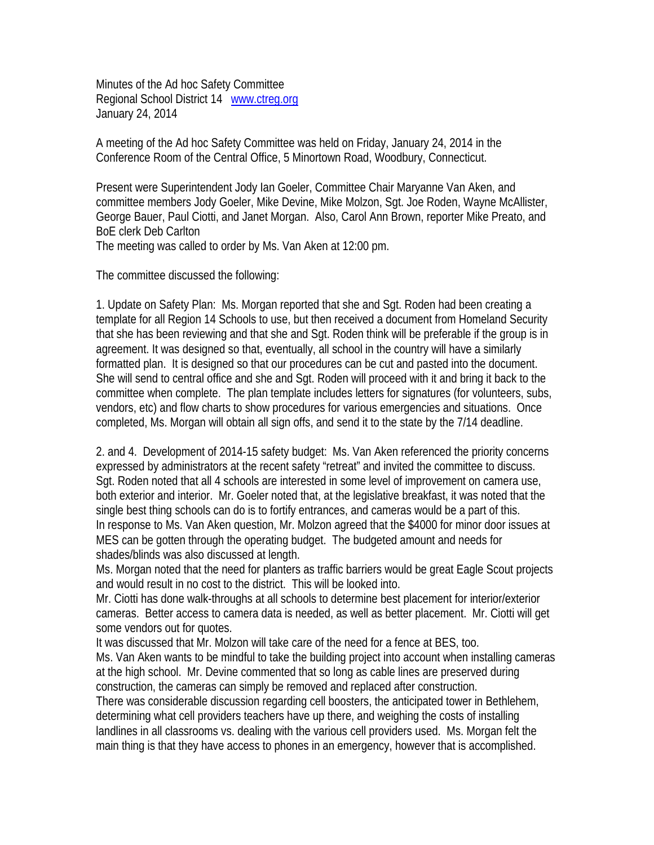Minutes of the Ad hoc Safety Committee Regional School District 14 www.ctreg.org January 24, 2014

A meeting of the Ad hoc Safety Committee was held on Friday, January 24, 2014 in the Conference Room of the Central Office, 5 Minortown Road, Woodbury, Connecticut.

Present were Superintendent Jody Ian Goeler, Committee Chair Maryanne Van Aken, and committee members Jody Goeler, Mike Devine, Mike Molzon, Sgt. Joe Roden, Wayne McAllister, George Bauer, Paul Ciotti, and Janet Morgan. Also, Carol Ann Brown, reporter Mike Preato, and BoE clerk Deb Carlton

The meeting was called to order by Ms. Van Aken at 12:00 pm.

The committee discussed the following:

1. Update on Safety Plan: Ms. Morgan reported that she and Sgt. Roden had been creating a template for all Region 14 Schools to use, but then received a document from Homeland Security that she has been reviewing and that she and Sgt. Roden think will be preferable if the group is in agreement. It was designed so that, eventually, all school in the country will have a similarly formatted plan. It is designed so that our procedures can be cut and pasted into the document. She will send to central office and she and Sgt. Roden will proceed with it and bring it back to the committee when complete. The plan template includes letters for signatures (for volunteers, subs, vendors, etc) and flow charts to show procedures for various emergencies and situations. Once completed, Ms. Morgan will obtain all sign offs, and send it to the state by the 7/14 deadline.

2. and 4. Development of 2014-15 safety budget: Ms. Van Aken referenced the priority concerns expressed by administrators at the recent safety "retreat" and invited the committee to discuss. Sgt. Roden noted that all 4 schools are interested in some level of improvement on camera use, both exterior and interior. Mr. Goeler noted that, at the legislative breakfast, it was noted that the single best thing schools can do is to fortify entrances, and cameras would be a part of this. In response to Ms. Van Aken question, Mr. Molzon agreed that the \$4000 for minor door issues at MES can be gotten through the operating budget. The budgeted amount and needs for shades/blinds was also discussed at length.

Ms. Morgan noted that the need for planters as traffic barriers would be great Eagle Scout projects and would result in no cost to the district. This will be looked into.

Mr. Ciotti has done walk-throughs at all schools to determine best placement for interior/exterior cameras. Better access to camera data is needed, as well as better placement. Mr. Ciotti will get some vendors out for quotes.

It was discussed that Mr. Molzon will take care of the need for a fence at BES, too.

Ms. Van Aken wants to be mindful to take the building project into account when installing cameras at the high school. Mr. Devine commented that so long as cable lines are preserved during construction, the cameras can simply be removed and replaced after construction.

There was considerable discussion regarding cell boosters, the anticipated tower in Bethlehem, determining what cell providers teachers have up there, and weighing the costs of installing landlines in all classrooms vs. dealing with the various cell providers used. Ms. Morgan felt the main thing is that they have access to phones in an emergency, however that is accomplished.